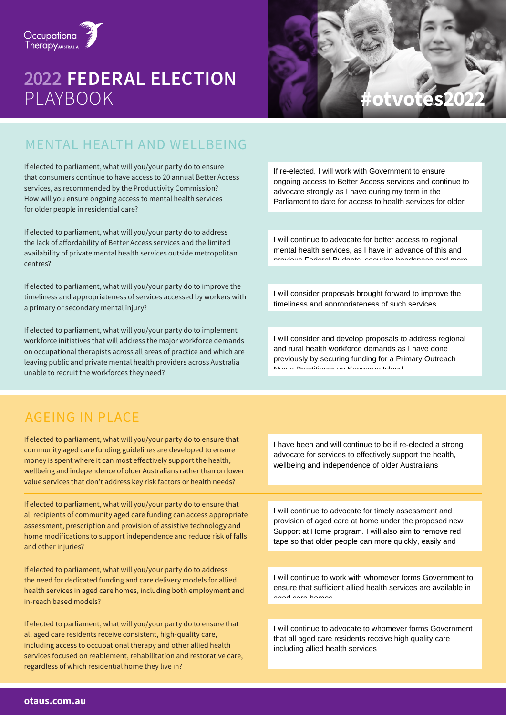

# **2022 FEDERAL ELECTION**



## MENTAL HEALTH AND WELLBEING

If elected to parliament, what will you/your party do to ensure that consumers continue to have access to 20 annual Better Access services, as recommended by the Productivity Commission? How will you ensure ongoing access to mental health services for older people in residential care?

If elected to parliament, what will you/your party do to address the lack of affordability of Better Access services and the limited availability of private mental health services outside metropolitan centres?

If elected to parliament, what will you/your party do to improve the timeliness and appropriateness of services accessed by workers with a primary or secondary mental injury?

If elected to parliament, what will you/your party do to implement workforce initiatives that will address the major workforce demands on occupational therapists across all areas of practice and which are leaving public and private mental health providers across Australia unable to recruit the workforces they need?

If re-elected, I will work with Government to ensure ongoing access to Better Access services and continue to advocate strongly as I have during my term in the Parliament to date for access to health services for older

I will continue to advocate for better access to regional mental health services, as I have in advance of this and previous Federal Budgets, securing headspace and more

I will consider proposals brought forward to improve the timeliness and appropriateness of such services

I will consider and develop proposals to address regional and rural health workforce demands as I have done previously by securing funding for a Primary Outreach Nurse Practitioner on Kangaroo Island

## AGEING IN PLACE

If elected to parliament, what will you/your party do to ensure that community aged care funding guidelines are developed to ensure money is spent where it can most effectively support the health, wellbeing and independence of older Australians rather than on lower value services that don't address key risk factors or health needs?

If elected to parliament, what will you/your party do to ensure that all recipients of community aged care funding can access appropriate assessment, prescription and provision of assistive technology and home modifications to support independence and reduce risk of falls and other injuries?

If elected to parliament, what will you/your party do to address the need for dedicated funding and care delivery models for allied health services in aged care homes, including both employment and in-reach based models?

If elected to parliament, what will you/your party do to ensure that all aged care residents receive consistent, high-quality care, including access to occupational therapy and other allied health services focused on reablement, rehabilitation and restorative care, regardless of which residential home they live in?

I have been and will continue to be if re-elected a strong advocate for services to effectively support the health, wellbeing and independence of older Australians

I will continue to advocate for timely assessment and provision of aged care at home under the proposed new Support at Home program. I will also aim to remove red tape so that older people can more quickly, easily and

I will continue to work with whomever forms Government to ensure that sufficient allied health services are available in aged care homes

I will continue to advocate to whomever forms Government that all aged care residents receive high quality care including allied health services